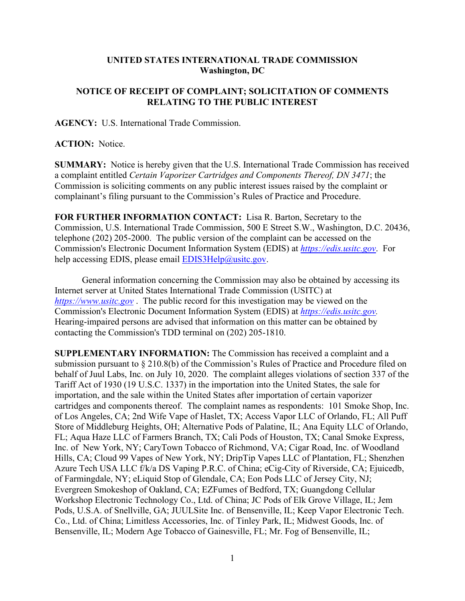## **UNITED STATES INTERNATIONAL TRADE COMMISSION Washington, DC**

## **NOTICE OF RECEIPT OF COMPLAINT; SOLICITATION OF COMMENTS RELATING TO THE PUBLIC INTEREST**

**AGENCY:** U.S. International Trade Commission.

## **ACTION:** Notice.

**SUMMARY:** Notice is hereby given that the U.S. International Trade Commission has received a complaint entitled *Certain Vaporizer Cartridges and Components Thereof, DN 3471*; the Commission is soliciting comments on any public interest issues raised by the complaint or complainant's filing pursuant to the Commission's Rules of Practice and Procedure.

**FOR FURTHER INFORMATION CONTACT:** Lisa R. Barton, Secretary to the Commission, U.S. International Trade Commission, 500 E Street S.W., Washington, D.C. 20436, telephone (202) 205-2000. The public version of the complaint can be accessed on the Commission's Electronic Document Information System (EDIS) at *[https://edis.usitc.gov](https://edis.usitc.gov/)*. For help accessing EDIS, please email [EDIS3Help@usitc.gov.](mailto:EDIS3Help@usitc.gov)

General information concerning the Commission may also be obtained by accessing its Internet server at United States International Trade Commission (USITC) at *[https://www.usitc.gov](https://www.usitc.gov/)* . The public record for this investigation may be viewed on the Commission's Electronic Document Information System (EDIS) at *[https://edis.usitc.gov.](https://edis.usitc.gov/)* Hearing-impaired persons are advised that information on this matter can be obtained by contacting the Commission's TDD terminal on (202) 205-1810.

**SUPPLEMENTARY INFORMATION:** The Commission has received a complaint and a submission pursuant to § 210.8(b) of the Commission's Rules of Practice and Procedure filed on behalf of Juul Labs, Inc. on July 10, 2020. The complaint alleges violations of section 337 of the Tariff Act of 1930 (19 U.S.C. 1337) in the importation into the United States, the sale for importation, and the sale within the United States after importation of certain vaporizer cartridges and components thereof. The complaint names as respondents: 101 Smoke Shop, Inc. of Los Angeles, CA; 2nd Wife Vape of Haslet, TX; Access Vapor LLC of Orlando, FL; All Puff Store of Middleburg Heights, OH; Alternative Pods of Palatine, IL; Ana Equity LLC of Orlando, FL; Aqua Haze LLC of Farmers Branch, TX; Cali Pods of Houston, TX; Canal Smoke Express, Inc. of New York, NY; CaryTown Tobacco of Richmond, VA; Cigar Road, Inc. of Woodland Hills, CA; Cloud 99 Vapes of New York, NY; DripTip Vapes LLC of Plantation, FL; Shenzhen Azure Tech USA LLC f/k/a DS Vaping P.R.C. of China; eCig-City of Riverside, CA; Ejuicedb, of Farmingdale, NY; eLiquid Stop of Glendale, CA; Eon Pods LLC of Jersey City, NJ; Evergreen Smokeshop of Oakland, CA; EZFumes of Bedford, TX; Guangdong Cellular Workshop Electronic Technology Co., Ltd. of China; JC Pods of Elk Grove Village, IL; Jem Pods, U.S.A. of Snellville, GA; JUULSite Inc. of Bensenville, IL; Keep Vapor Electronic Tech. Co., Ltd. of China; Limitless Accessories, Inc. of Tinley Park, IL; Midwest Goods, Inc. of Bensenville, IL; Modern Age Tobacco of Gainesville, FL; Mr. Fog of Bensenville, IL;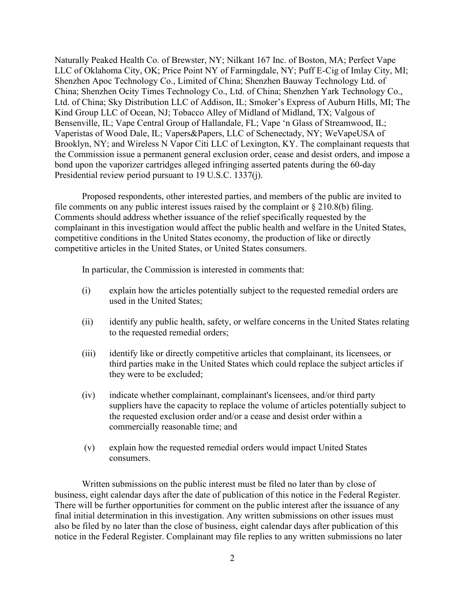Naturally Peaked Health Co. of Brewster, NY; Nilkant 167 Inc. of Boston, MA; Perfect Vape LLC of Oklahoma City, OK; Price Point NY of Farmingdale, NY; Puff E-Cig of Imlay City, MI; Shenzhen Apoc Technology Co., Limited of China; Shenzhen Bauway Technology Ltd. of China; Shenzhen Ocity Times Technology Co., Ltd. of China; Shenzhen Yark Technology Co., Ltd. of China; Sky Distribution LLC of Addison, IL; Smoker's Express of Auburn Hills, MI; The Kind Group LLC of Ocean, NJ; Tobacco Alley of Midland of Midland, TX; Valgous of Bensenville, IL; Vape Central Group of Hallandale, FL; Vape 'n Glass of Streamwood, IL; Vaperistas of Wood Dale, IL; Vapers&Papers, LLC of Schenectady, NY; WeVapeUSA of Brooklyn, NY; and Wireless N Vapor Citi LLC of Lexington, KY. The complainant requests that the Commission issue a permanent general exclusion order, cease and desist orders, and impose a bond upon the vaporizer cartridges alleged infringing asserted patents during the 60-day Presidential review period pursuant to 19 U.S.C. 1337(j).

Proposed respondents, other interested parties, and members of the public are invited to file comments on any public interest issues raised by the complaint or  $\S 210.8(b)$  filing. Comments should address whether issuance of the relief specifically requested by the complainant in this investigation would affect the public health and welfare in the United States, competitive conditions in the United States economy, the production of like or directly competitive articles in the United States, or United States consumers.

In particular, the Commission is interested in comments that:

- (i) explain how the articles potentially subject to the requested remedial orders are used in the United States;
- (ii) identify any public health, safety, or welfare concerns in the United States relating to the requested remedial orders;
- (iii) identify like or directly competitive articles that complainant, its licensees, or third parties make in the United States which could replace the subject articles if they were to be excluded;
- (iv) indicate whether complainant, complainant's licensees, and/or third party suppliers have the capacity to replace the volume of articles potentially subject to the requested exclusion order and/or a cease and desist order within a commercially reasonable time; and
- (v) explain how the requested remedial orders would impact United States consumers.

Written submissions on the public interest must be filed no later than by close of business, eight calendar days after the date of publication of this notice in the Federal Register. There will be further opportunities for comment on the public interest after the issuance of any final initial determination in this investigation. Any written submissions on other issues must also be filed by no later than the close of business, eight calendar days after publication of this notice in the Federal Register. Complainant may file replies to any written submissions no later